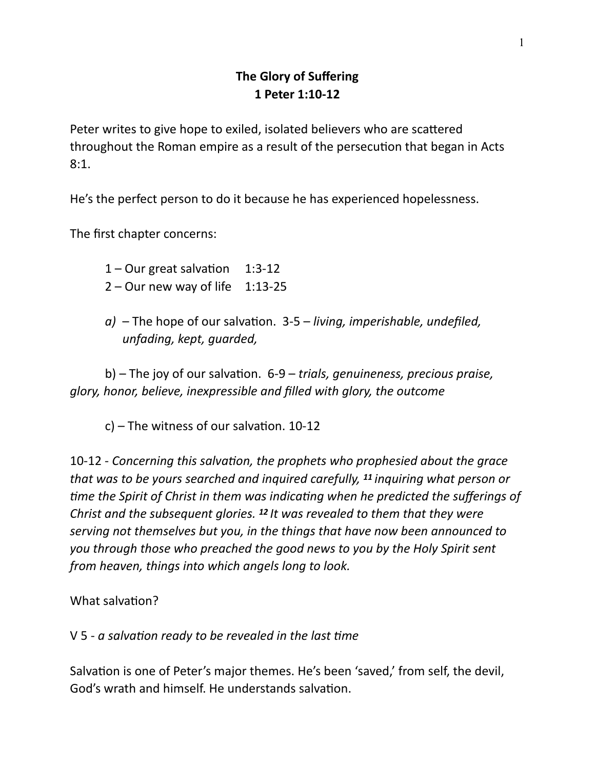## **The Glory of Suffering 1 Peter 1:10-12**

Peter writes to give hope to exiled, isolated believers who are scattered throughout the Roman empire as a result of the persecution that began in Acts 8:1.

He's the perfect person to do it because he has experienced hopelessness.

The first chapter concerns:

 $1 -$ Our great salvation 1:3-12

- $2 -$  Our new way of life 1:13-25
- *a*) The hope of our salvation. 3-5 *living, imperishable, undefiled, unfading, kept, guarded,*

b) – The joy of our salvation. 6-9 – *trials, genuineness, precious praise, glory, honor, believe, inexpressible and filled with glory, the outcome* 

 $c$ ) – The witness of our salvation. 10-12

10-12 - Concerning this salvation, the prophets who prophesied about the grace *that was to be yours searched and inquired carefully, 11 inquiring what person or time the Spirit of Christ in them was indicating when he predicted the sufferings of Christ and the subsequent glories. 12 It was revealed to them that they were serving not themselves but you, in the things that have now been announced to you through those who preached the good news to you by the Holy Spirit sent from heaven, things into which angels long to look.*

What salvation?

V 5 - *a salvation ready to be revealed in the last time* 

Salvation is one of Peter's major themes. He's been 'saved,' from self, the devil, God's wrath and himself. He understands salvation.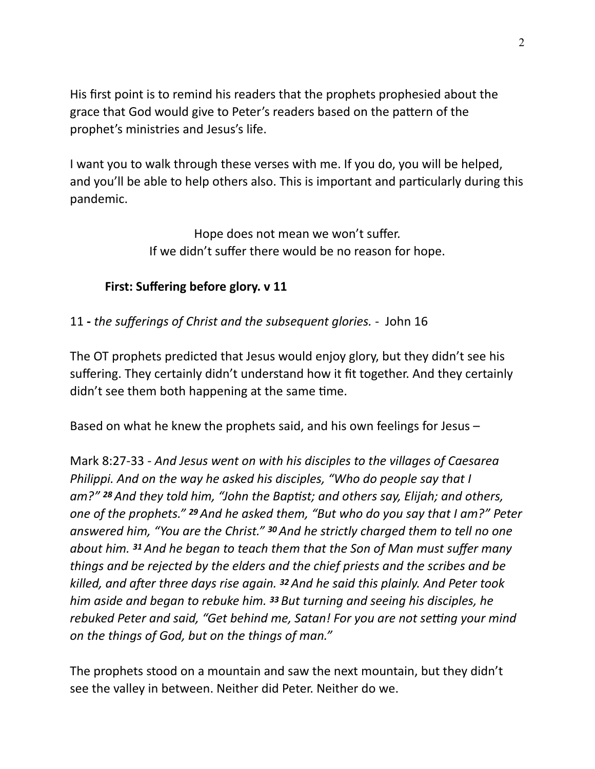His first point is to remind his readers that the prophets prophesied about the grace that God would give to Peter's readers based on the pattern of the prophet's ministries and Jesus's life.

I want you to walk through these verses with me. If you do, you will be helped, and you'll be able to help others also. This is important and particularly during this pandemic.

> Hope does not mean we won't suffer. If we didn't suffer there would be no reason for hope.

## **First: Suffering before glory. v 11**

11 **-** *the sufferings of Christ and the subsequent glories. -* John 16

The OT prophets predicted that Jesus would enjoy glory, but they didn't see his suffering. They certainly didn't understand how it fit together. And they certainly  $\frac{d}{dx}$  didn't see them both happening at the same time.

Based on what he knew the prophets said, and his own feelings for Jesus –

Mark 8:27-33 - *And Jesus went on with his disciples to the villages of Caesarea Philippi. And on the way he asked his disciples, "Who do people say that I am?"* **28** And they told him, "John the Baptist; and others say, Elijah; and others, *one of the prophets." 29 And he asked them, "But who do you say that I am?" Peter answered him, "You are the Christ." 30 And he strictly charged them to tell no one about him. 31 And he began to teach them that the Son of Man must suffer many things and be rejected by the elders and the chief priests and the scribes and be killed, and aRer three days rise again. 32 And he said this plainly. And Peter took him aside and began to rebuke him. 33 But turning and seeing his disciples, he rebuked Peter and said, "Get behind me, Satan! For you are not setting your mind on the things of God, but on the things of man."* 

The prophets stood on a mountain and saw the next mountain, but they didn't see the valley in between. Neither did Peter. Neither do we.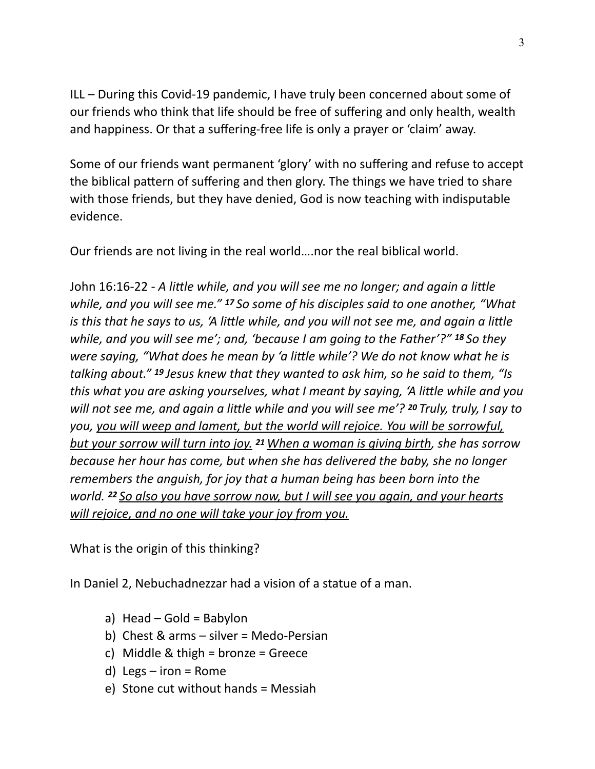ILL – During this Covid-19 pandemic, I have truly been concerned about some of our friends who think that life should be free of suffering and only health, wealth and happiness. Or that a suffering-free life is only a prayer or 'claim' away.

Some of our friends want permanent 'glory' with no suffering and refuse to accept the biblical pattern of suffering and then glory. The things we have tried to share with those friends, but they have denied, God is now teaching with indisputable evidence.

Our friends are not living in the real world….nor the real biblical world.

John 16:16-22 - A little while, and you will see me no longer; and again a little *while, and you will see me." 17 So some of his disciples said to one another, "What is this that he says to us, 'A little while, and you will not see me, and again a little while, and you will see me'; and, 'because I am going to the Father'?" 18 So they were saying, "What does he mean by 'a little while'? We do not know what he is talking about." 19 Jesus knew that they wanted to ask him, so he said to them, "Is*  this what you are asking yourselves, what I meant by saying, 'A little while and you *will not see me, and again a little while and you will see me'? <sup>20</sup> Truly, truly, I say to you, you will weep and lament, but the world will rejoice. You will be sorrowful, but your sorrow will turn into joy. <sup>21</sup>When a woman is giving birth, she has sorrow because her hour has come, but when she has delivered the baby, she no longer remembers the anguish, for joy that a human being has been born into the world. 22 So also you have sorrow now, but I will see you again, and your hearts will rejoice, and no one will take your joy from you.*

What is the origin of this thinking?

In Daniel 2, Nebuchadnezzar had a vision of a statue of a man.

- a) Head Gold = Babylon
- b) Chest & arms silver = Medo-Persian
- c) Middle & thigh = bronze = Greece
- d) Legs  $-$  iron = Rome
- e) Stone cut without hands = Messiah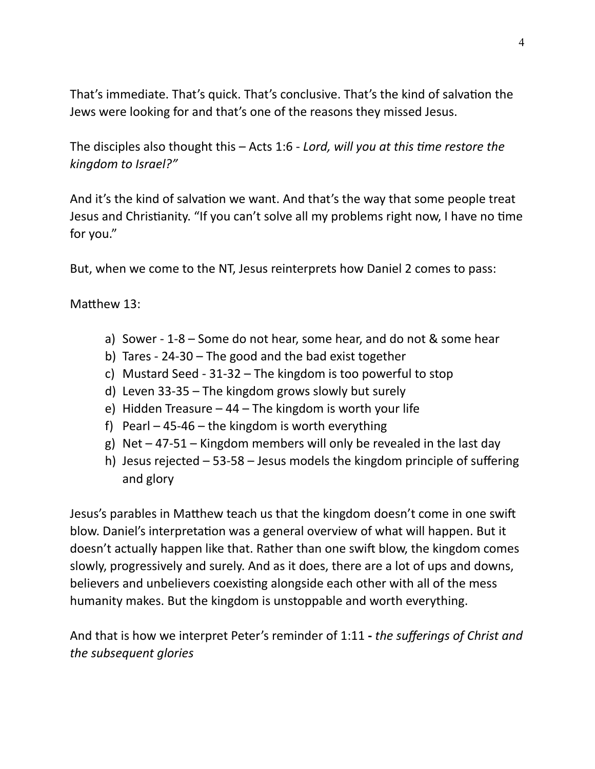That's immediate. That's quick. That's conclusive. That's the kind of salvation the Jews were looking for and that's one of the reasons they missed Jesus.

The disciples also thought this – Acts 1:6 - *Lord, will you at this time restore the kingdom to Israel?"*

And it's the kind of salvation we want. And that's the way that some people treat Jesus and Christianity. "If you can't solve all my problems right now, I have no time for you."

But, when we come to the NT, Jesus reinterprets how Daniel 2 comes to pass:

Matthew 13:

- a) Sower 1-8 Some do not hear, some hear, and do not & some hear
- b) Tares 24-30 The good and the bad exist together
- c) Mustard Seed 31-32 The kingdom is too powerful to stop
- d) Leven 33-35 The kingdom grows slowly but surely
- e) Hidden Treasure  $-44$  The kingdom is worth your life
- f) Pearl  $-45-46$  the kingdom is worth everything
- g) Net  $-47-51$  Kingdom members will only be revealed in the last day
- h) Jesus rejected 53-58 Jesus models the kingdom principle of suffering and glory

Jesus's parables in Matthew teach us that the kingdom doesn't come in one swift blow. Daniel's interpretation was a general overview of what will happen. But it doesn't actually happen like that. Rather than one swift blow, the kingdom comes slowly, progressively and surely. And as it does, there are a lot of ups and downs, believers and unbelievers coexisting alongside each other with all of the mess humanity makes. But the kingdom is unstoppable and worth everything.

And that is how we interpret Peter's reminder of 1:11 **-** *the sufferings of Christ and the subsequent glories*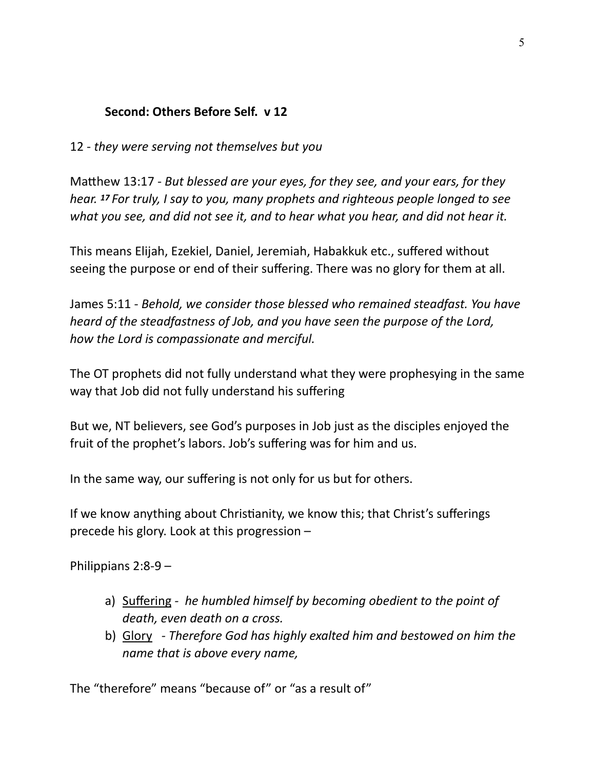## **Second: Others Before Self. v 12**

12 - *they were serving not themselves but you* 

Matthew 13:17 - *But blessed are your eyes, for they see, and your ears, for they hear. 17 For truly, I say to you, many prophets and righteous people longed to see what you see, and did not see it, and to hear what you hear, and did not hear it.* 

This means Elijah, Ezekiel, Daniel, Jeremiah, Habakkuk etc., suffered without seeing the purpose or end of their suffering. There was no glory for them at all.

James 5:11 - *Behold, we consider those blessed who remained steadfast. You have heard of the steadfastness of Job, and you have seen the purpose of the Lord, how the Lord is compassionate and merciful.*

The OT prophets did not fully understand what they were prophesying in the same way that Job did not fully understand his suffering

But we, NT believers, see God's purposes in Job just as the disciples enjoyed the fruit of the prophet's labors. Job's suffering was for him and us.

In the same way, our suffering is not only for us but for others.

If we know anything about Christianity, we know this; that Christ's sufferings precede his glory. Look at this progression –

Philippians 2:8-9 –

- a) Suffering *he humbled himself by becoming obedient to the point of death, even death on a cross.*
- b) Glory *Therefore God has highly exalted him and bestowed on him the name that is above every name,*

The "therefore" means "because of" or "as a result of"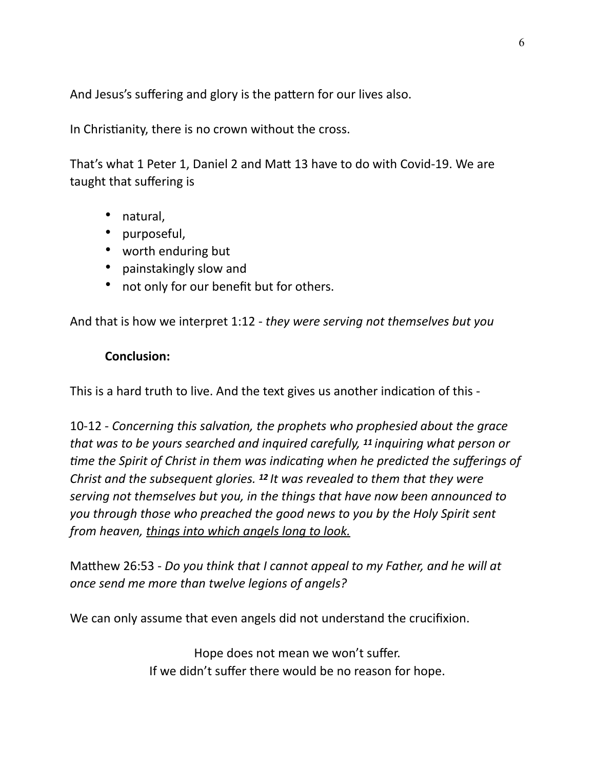And Jesus's suffering and glory is the pattern for our lives also.

In Christianity, there is no crown without the cross.

That's what 1 Peter 1, Daniel 2 and Matt 13 have to do with Covid-19. We are taught that suffering is

- natural,
- purposeful,
- worth enduring but
- painstakingly slow and
- not only for our benefit but for others.

And that is how we interpret 1:12 - *they were serving not themselves but you* 

## **Conclusion:**

This is a hard truth to live. And the text gives us another indication of this -

10-12 - Concerning this salvation, the prophets who prophesied about the grace *that was to be yours searched and inquired carefully, 11 inquiring what person or*  time the Spirit of Christ in them was indicating when he predicted the sufferings of *Christ and the subsequent glories. 12 It was revealed to them that they were serving not themselves but you, in the things that have now been announced to you through those who preached the good news to you by the Holy Spirit sent from heaven, things into which angels long to look.*

Ma5hew 26:53 - *Do you think that I cannot appeal to my Father, and he will at once send me more than twelve legions of angels?*

We can only assume that even angels did not understand the crucifixion.

Hope does not mean we won't suffer. If we didn't suffer there would be no reason for hope.